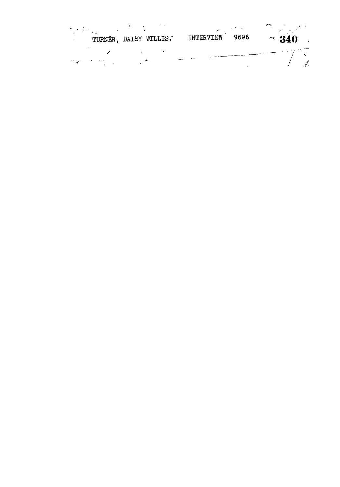|  | TURNER, DAISY WILLIS. | INTERVIEW | 9696 | $\sim$ | 340 |
|--|-----------------------|-----------|------|--------|-----|
|  |                       |           |      |        |     |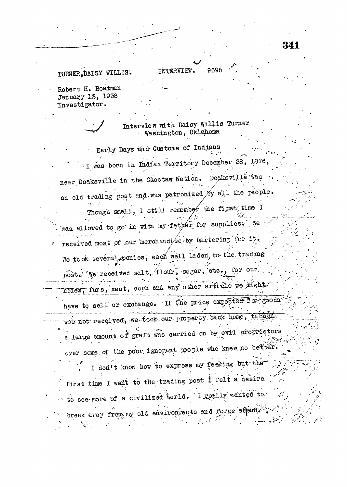## TURNER, DAISY WILLIS.

## INTERVIEW. 9696

Robert H. Boatman January 12, 1938 Investigator.

## Interview with Daisy Willis Turner Washington, Oklahoma

Early Days and Customs of Indians I was born in Indian Territory December 28, 1876 near Doaksville in the Choctaw Nation. Doeksville was an old trading post and was patronized by all the people. Though small, I still remember the first time I was allowed to go in with my father for supplies. We received most of our merchandi/se by bartering for it. We took several ponies, each well laden, to the trading post. We received salt, flour, sugar, etc., for our hides, furs, meat, corn and any other artivile we might have to sell or exchange. If the price expection for goods was not received, we took our property back home, though a large amount of graft was carried on by evil proprietors over some of the poor ignorant people who knew no better. I don't know how to express my feeling but the first time I went to the trading post I felt a desire to see more of a civilized world. I really wanted to break away from my old environments and forge abbad.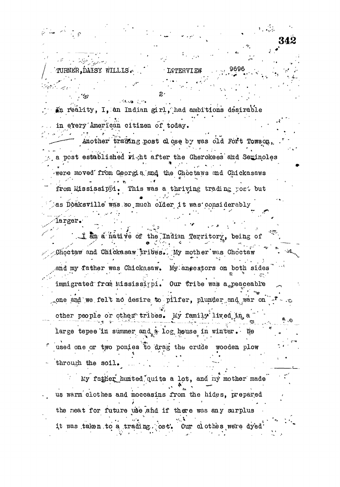$\mathcal{L}=\frac{1}{2}\mathcal{L}$ 

9696 TURNER, DAISY WILLIS. INTERVIEW وبرست

in reality, I, an Indian girl, had ambitions desirable in every American citizen of today. Another trading post close by was old Fort Towson, a post established right after the Cherokees and Seminoles were moved from Georgia and the Choctaws and Chickasaws from Mississippi. This was a thriving trading post but as Doaksville was so much older it was considerably

 $\lceil \text{larger.} \rceil$ 

I am a native of the Indian Territory, being of Choctaw and Chickesaw tribes. My mother was Choctaw and my father was Chickasaw. My angestors on both sides immigrated from Mississippi. Our tribe was a peaceable one and we felt no desire to pilfer, plunder and war on other people or other tribes. My family lived in a large tepee in summer and a log house in winter. We used one or two ponies to drag the crude wooden plow through the soil.

My father hunted quite a lot, and my mother made us warm clothes and moccasins from the hides, prepared the meat for future use and if there was any surplus it was taken to a trading, ost. Our clothes were dyed.